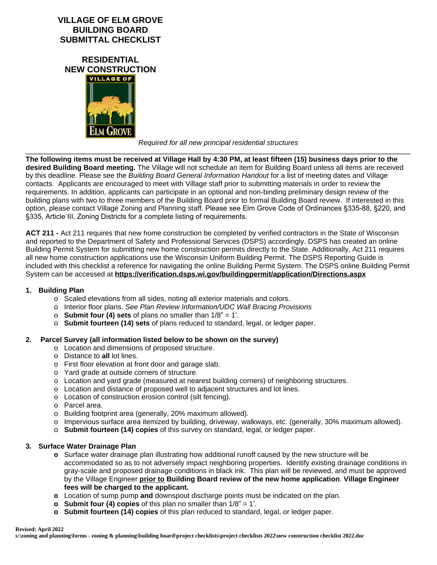### **VILLAGE OF ELM GROVE BUILDING BOARD SUBMITTAL CHECKLIST**

**RESIDENTIAL NEW CONSTRUCTION**



*Required for all new principal residential structures*

*\_\_\_\_\_\_\_\_\_\_\_\_\_\_\_\_\_\_\_\_\_\_\_\_\_\_\_\_\_\_\_\_\_\_\_\_\_\_\_\_\_\_\_\_\_\_\_\_\_\_\_\_\_\_\_\_\_\_\_\_\_\_\_\_\_\_\_\_\_\_\_\_\_\_\_\_\_\_\_\_\_\_\_\_\_\_\_\_\_\_\_\_\_\_\_\_\_* **The following items must be received at Village Hall by 4:30 PM, at least fifteen (15) business days prior to the desired Building Board meeting.** The Village will not schedule an item for Building Board unless all items are received by this deadline. Please see the *Building Board General Information Handout* for a list of meeting dates and Village contacts. Applicants are encouraged to meet with Village staff prior to submitting materials in order to review the requirements. In addition, applicants can participate in an optional and non-binding preliminary design review of the building plans with two to three members of the Building Board prior to formal Building Board review. If interested in this option, please contact Village Zoning and Planning staff. Please see Elm Grove Code of Ordinances §335-88, §220, and §335, Article III, Zoning Districts for a complete listing of requirements.

**ACT 211 -** Act 211 requires that new home construction be completed by verified contractors in the State of Wisconsin and reported to the Department of Safety and Professional Services (DSPS) accordingly. DSPS has created an online Building Permit System for submitting new home construction permits directly to the State. Additionally, Act 211 requires all new home construction applications use the Wisconsin Uniform Building Permit. The DSPS Reporting Guide is included with this checklist a reference for navigating the online Building Permit System. The DSPS online Building Permit System can be accessed at **https://verification.dsps.wi.gov/buildingpermit/application/Directions.aspx**

#### **1. Building Plan**

- o Scaled elevations from all sides, noting all exterior materials and colors.
- o Interior floor plans. *See Plan Review Information/UDC Wall Bracing Provisions*
- o **Submit four (4) sets** of plans no smaller than 1/8" = 1'.
- o **Submit fourteen (14) sets** of plans reduced to standard, legal, or ledger paper.

#### **2. Parcel Survey (all information listed below to be shown on the survey)**

- o Location and dimensions of proposed structure.
- o Distance to **all** lot lines.
- o First floor elevation at front door and garage slab.
- o Yard grade at outside corners of structure.
- o Location and yard grade (measured at nearest building corners) of neighboring structures.
- o Location and distance of proposed well to adjacent structures and lot lines.
- o Location of construction erosion control (silt fencing).
- o Parcel area.
- o Building footprint area (generally, 20% maximum allowed).
- o Impervious surface area itemized by building, driveway, walkways, etc. (generally, 30% maximum allowed).
- o **Submit fourteen (14) copies** of this survey on standard, legal, or ledger paper.

#### **3. Surface Water Drainage Plan**

- **o** Surface water drainage plan illustrating how additional runoff caused by the new structure will be accommodated so as to not adversely impact neighboring properties. Identify existing drainage conditions in gray-scale and proposed drainage conditions in black ink. This plan will be reviewed, and must be approved by the Village Engineer **prior to Building Board review of the new home application**. **Village Engineer fees will be charged to the applicant.**
- **o** Location of sump pump **and** downspout discharge points must be indicated on the plan.
- **o Submit four (4) copies** of this plan no smaller than 1/8" = 1'.
- **o Submit fourteen (14) copies** of this plan reduced to standard, legal, or ledger paper.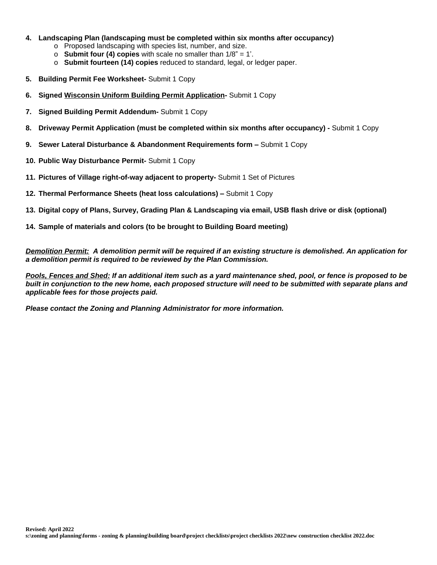- **4. Landscaping Plan (landscaping must be completed within six months after occupancy)**
	- o Proposed landscaping with species list, number, and size.
	- o **Submit four (4) copies** with scale no smaller than 1/8" = 1'.
	- o **Submit fourteen (14) copies** reduced to standard, legal, or ledger paper.
- **5. Building Permit Fee Worksheet-** Submit 1 Copy
- **6. Signed Wisconsin Uniform Building Permit Application-** Submit 1 Copy
- **7. Signed Building Permit Addendum-** Submit 1 Copy
- **8. Driveway Permit Application (must be completed within six months after occupancy)** Submit 1 Copy
- **9. Sewer Lateral Disturbance & Abandonment Requirements form –** Submit 1 Copy
- **10. Public Way Disturbance Permit-** Submit 1 Copy
- **11. Pictures of Village right-of-way adjacent to property-** Submit 1 Set of Pictures
- **12. Thermal Performance Sheets (heat loss calculations) –** Submit 1 Copy
- **13. Digital copy of Plans, Survey, Grading Plan & Landscaping via email, USB flash drive or disk (optional)**
- **14. Sample of materials and colors (to be brought to Building Board meeting)**

*Demolition Permit: A demolition permit will be required if an existing structure is demolished. An application for a demolition permit is required to be reviewed by the Plan Commission.* 

*Pools, Fences and Shed: If an additional item such as a yard maintenance shed, pool, or fence is proposed to be built in conjunction to the new home, each proposed structure will need to be submitted with separate plans and applicable fees for those projects paid.*

*Please contact the Zoning and Planning Administrator for more information.*